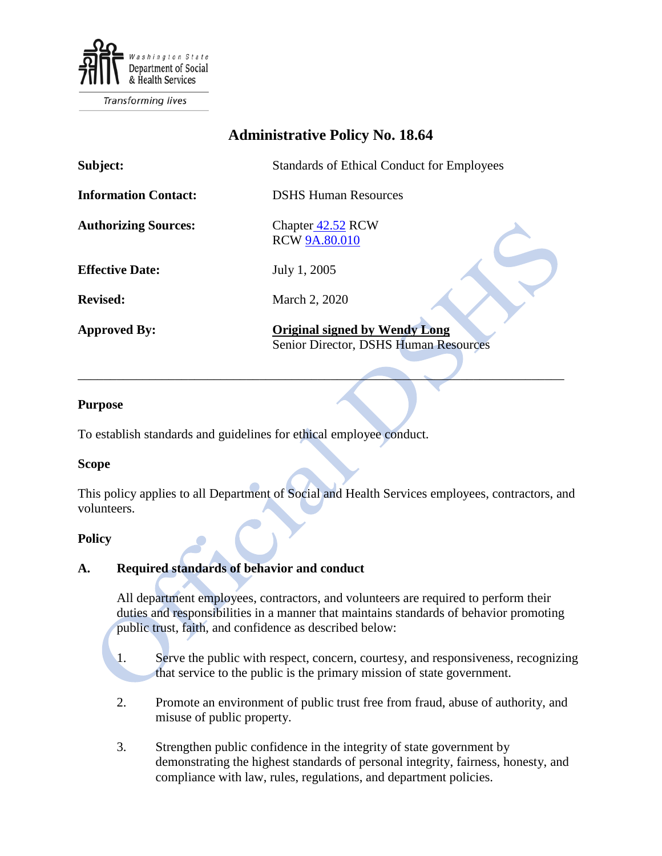

**Transforming lives** 

# **Administrative Policy No. 18.64**

| Subject:                    | <b>Standards of Ethical Conduct for Employees</b>                             |
|-----------------------------|-------------------------------------------------------------------------------|
| <b>Information Contact:</b> | <b>DSHS Human Resources</b>                                                   |
| <b>Authorizing Sources:</b> | Chapter 42.52 RCW<br><b>RCW 9A.80.010</b>                                     |
| <b>Effective Date:</b>      | July 1, 2005                                                                  |
| <b>Revised:</b>             | March 2, 2020                                                                 |
| <b>Approved By:</b>         | <b>Original signed by Wendy Long</b><br>Senior Director, DSHS Human Resources |

\_\_\_\_\_\_\_\_\_\_\_\_\_\_\_\_\_\_\_\_\_\_\_\_\_\_\_\_\_\_\_\_\_\_\_\_\_\_\_\_\_\_\_\_\_\_\_\_\_\_\_\_\_\_\_\_\_\_\_\_\_\_\_\_\_\_\_\_\_\_\_\_\_\_\_

#### **Purpose**

To establish standards and guidelines for ethical employee conduct.

#### **Scope**

This policy applies to all Department of Social and Health Services employees, contractors, and volunteers.

#### **Policy**

#### **A. Required standards of behavior and conduct**

All department employees, contractors, and volunteers are required to perform their duties and responsibilities in a manner that maintains standards of behavior promoting public trust, faith, and confidence as described below:

- 1. Serve the public with respect, concern, courtesy, and responsiveness, recognizing that service to the public is the primary mission of state government.
- 2. Promote an environment of public trust free from fraud, abuse of authority, and misuse of public property.
- 3. Strengthen public confidence in the integrity of state government by demonstrating the highest standards of personal integrity, fairness, honesty, and compliance with law, rules, regulations, and department policies.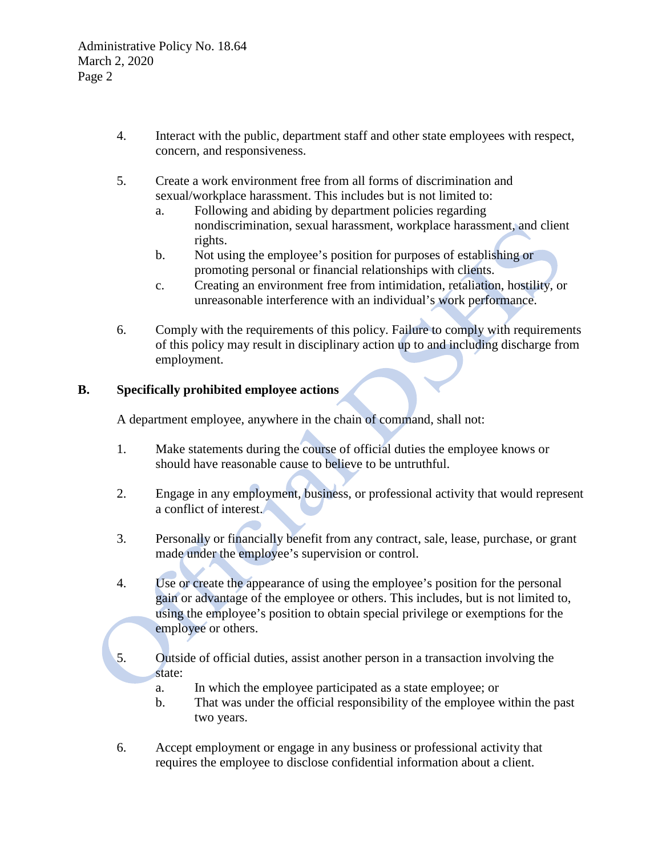- 4. Interact with the public, department staff and other state employees with respect, concern, and responsiveness.
- 5. Create a work environment free from all forms of discrimination and sexual/workplace harassment. This includes but is not limited to:
	- a. Following and abiding by department policies regarding nondiscrimination, sexual harassment, workplace harassment, and client rights.
	- b. Not using the employee's position for purposes of establishing or promoting personal or financial relationships with clients.
	- c. Creating an environment free from intimidation, retaliation, hostility, or unreasonable interference with an individual's work performance.
- 6. Comply with the requirements of this policy. Failure to comply with requirements of this policy may result in disciplinary action up to and including discharge from employment.

# **B. Specifically prohibited employee actions**

A department employee, anywhere in the chain of command, shall not:

- 1. Make statements during the course of official duties the employee knows or should have reasonable cause to believe to be untruthful.
- 2. Engage in any employment, business, or professional activity that would represent a conflict of interest.
- 3. Personally or financially benefit from any contract, sale, lease, purchase, or grant made under the employee's supervision or control.
- 4. Use or create the appearance of using the employee's position for the personal gain or advantage of the employee or others. This includes, but is not limited to, using the employee's position to obtain special privilege or exemptions for the employee or others.
- 5. Outside of official duties, assist another person in a transaction involving the state:
	- a. In which the employee participated as a state employee; or
	- b. That was under the official responsibility of the employee within the past two years.
- 6. Accept employment or engage in any business or professional activity that requires the employee to disclose confidential information about a client.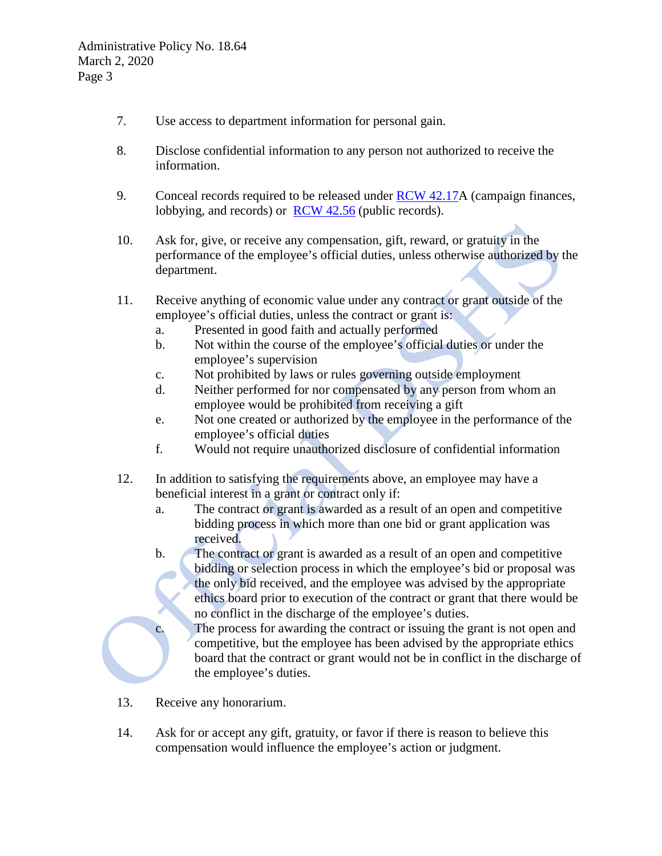- 7. Use access to department information for personal gain.
- 8. Disclose confidential information to any person not authorized to receive the information.
- 9. Conceal records required to be released under  $RCW$  42.17A (campaign finances, lobbying, and records) or <u>[RCW 42.56](http://apps.leg.wa.gov/RCW/default.aspx?cite=42.56)</u> (public records).
- 10. Ask for, give, or receive any compensation, gift, reward, or gratuity in the performance of the employee's official duties, unless otherwise authorized by the department.
- 11. Receive anything of economic value under any contract or grant outside of the employee's official duties, unless the contract or grant is:
	- a. Presented in good faith and actually performed
	- b. Not within the course of the employee's official duties or under the employee's supervision
	- c. Not prohibited by laws or rules governing outside employment
	- d. Neither performed for nor compensated by any person from whom an employee would be prohibited from receiving a gift
	- e. Not one created or authorized by the employee in the performance of the employee's official duties
	- f. Would not require unauthorized disclosure of confidential information
- 12. In addition to satisfying the requirements above, an employee may have a beneficial interest in a grant or contract only if:
	- a. The contract or grant is awarded as a result of an open and competitive bidding process in which more than one bid or grant application was received.
	- b. The contract or grant is awarded as a result of an open and competitive bidding or selection process in which the employee's bid or proposal was the only bid received, and the employee was advised by the appropriate ethics board prior to execution of the contract or grant that there would be no conflict in the discharge of the employee's duties.
	- c. The process for awarding the contract or issuing the grant is not open and competitive, but the employee has been advised by the appropriate ethics board that the contract or grant would not be in conflict in the discharge of the employee's duties.
- 13. Receive any honorarium.
- 14. Ask for or accept any gift, gratuity, or favor if there is reason to believe this compensation would influence the employee's action or judgment.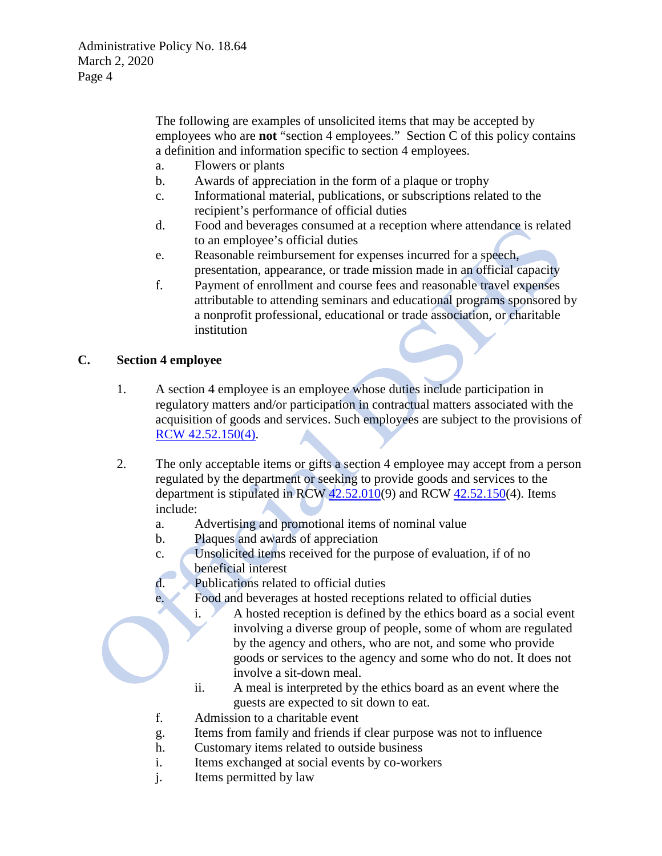The following are examples of unsolicited items that may be accepted by employees who are **not** "section 4 employees." Section C of this policy contains a definition and information specific to section 4 employees.

- a. Flowers or plants
- b. Awards of appreciation in the form of a plaque or trophy
- c. Informational material, publications, or subscriptions related to the recipient's performance of official duties
- d. Food and beverages consumed at a reception where attendance is related to an employee's official duties
- e. Reasonable reimbursement for expenses incurred for a speech, presentation, appearance, or trade mission made in an official capacity
- f. Payment of enrollment and course fees and reasonable travel expenses attributable to attending seminars and educational programs sponsored by a nonprofit professional, educational or trade association, or charitable institution

## **C. Section 4 employee**

- 1. A section 4 employee is an employee whose duties include participation in regulatory matters and/or participation in contractual matters associated with the acquisition of goods and services. Such employees are subject to the provisions of [RCW 42.52.150\(4\).](http://apps.leg.wa.gov/RCW/default.aspx?cite=42.56)
- 2. The only acceptable items or gifts a section 4 employee may accept from a person regulated by the department or seeking to provide goods and services to the department is stipulated in RCW [42.52.010\(](http://apps.leg.wa.gov/RCW/default.aspx?cite=42.52.010)9) and RCW [42.52.150\(](http://apps.leg.wa.gov/RCW/default.aspx?cite=42.52.150)4). Items include:
	- a. Advertising and promotional items of nominal value
	- b. Plaques and awards of appreciation
	- c. Unsolicited items received for the purpose of evaluation, if of no beneficial interest
	- d. Publications related to official duties
	- e. Food and beverages at hosted receptions related to official duties
		- i. A hosted reception is defined by the ethics board as a social event involving a diverse group of people, some of whom are regulated by the agency and others, who are not, and some who provide goods or services to the agency and some who do not. It does not involve a sit-down meal.
		- ii. A meal is interpreted by the ethics board as an event where the guests are expected to sit down to eat.
	- f. Admission to a charitable event
	- g. Items from family and friends if clear purpose was not to influence
	- h. Customary items related to outside business
	- i. Items exchanged at social events by co-workers
	- j. Items permitted by law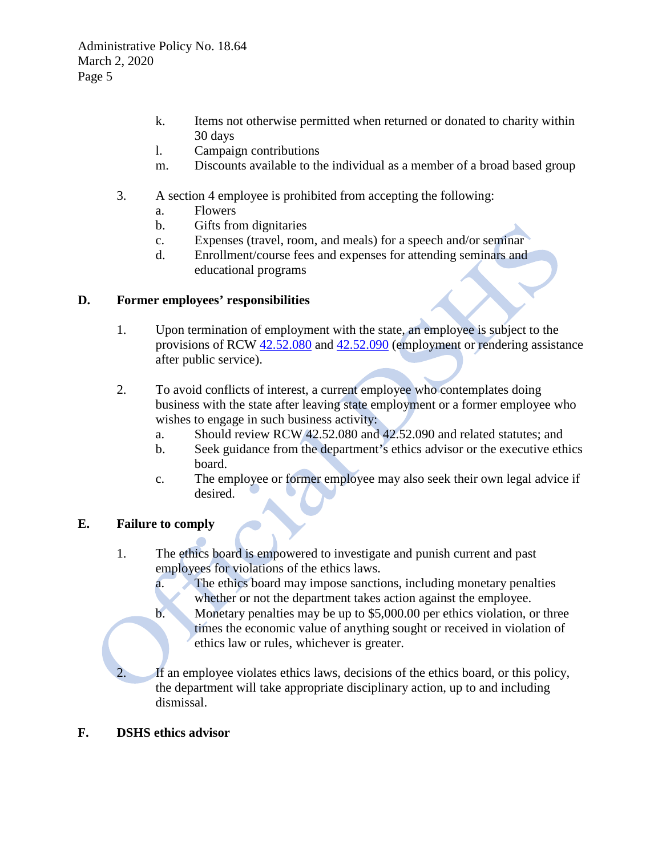- k. Items not otherwise permitted when returned or donated to charity within 30 days
- l. Campaign contributions
- m. Discounts available to the individual as a member of a broad based group
- 3. A section 4 employee is prohibited from accepting the following:
	- a. Flowers
	- b. Gifts from dignitaries
	- c. Expenses (travel, room, and meals) for a speech and/or seminar
	- d. Enrollment/course fees and expenses for attending seminars and educational programs

### **D. Former employees' responsibilities**

- 1. Upon termination of employment with the state, an employee is subject to the provisions of RCW [42.52.080](http://apps.leg.wa.gov/RCW/default.aspx?cite=42.52.010) and [42.52.090](http://apps.leg.wa.gov/RCW/default.aspx?cite=42.52.090) (employment or rendering assistance after public service).
- 2. To avoid conflicts of interest, a current employee who contemplates doing business with the state after leaving state employment or a former employee who wishes to engage in such business activity:
	- a. Should review RCW 42.52.080 and 42.52.090 and related statutes; and
	- b. Seek guidance from the department's ethics advisor or the executive ethics board.
	- c. The employee or former employee may also seek their own legal advice if desired.

### **E. Failure to comply**

- 1. The ethics board is empowered to investigate and punish current and past employees for violations of the ethics laws.
	- a. The ethics board may impose sanctions, including monetary penalties whether or not the department takes action against the employee.
	- b. Monetary penalties may be up to \$5,000.00 per ethics violation, or three times the economic value of anything sought or received in violation of ethics law or rules, whichever is greater.

If an employee violates ethics laws, decisions of the ethics board, or this policy, the department will take appropriate disciplinary action, up to and including dismissal.

### **F. DSHS ethics advisor**